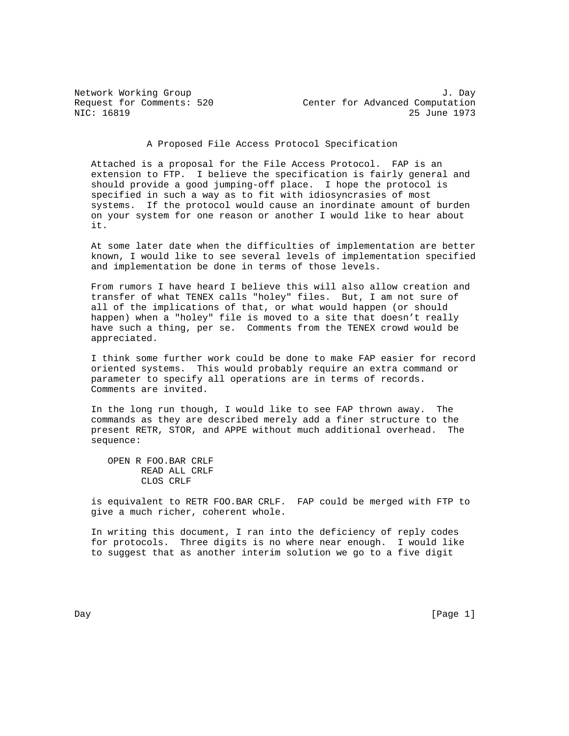Network Working Group<br>Request for Comments: 520 <br>Center for Advanced Computation Request for Comments: 520 Center for Advanced Computation<br>NIC: 16819 25 June 1973 25 June 1973

A Proposed File Access Protocol Specification

 Attached is a proposal for the File Access Protocol. FAP is an extension to FTP. I believe the specification is fairly general and should provide a good jumping-off place. I hope the protocol is specified in such a way as to fit with idiosyncrasies of most systems. If the protocol would cause an inordinate amount of burden on your system for one reason or another I would like to hear about it.

 At some later date when the difficulties of implementation are better known, I would like to see several levels of implementation specified and implementation be done in terms of those levels.

 From rumors I have heard I believe this will also allow creation and transfer of what TENEX calls "holey" files. But, I am not sure of all of the implications of that, or what would happen (or should happen) when a "holey" file is moved to a site that doesn't really have such a thing, per se. Comments from the TENEX crowd would be appreciated.

 I think some further work could be done to make FAP easier for record oriented systems. This would probably require an extra command or parameter to specify all operations are in terms of records. Comments are invited.

 In the long run though, I would like to see FAP thrown away. The commands as they are described merely add a finer structure to the present RETR, STOR, and APPE without much additional overhead. The sequence:

 OPEN R FOO.BAR CRLF READ ALL CRLF CLOS CRLF

 is equivalent to RETR FOO.BAR CRLF. FAP could be merged with FTP to give a much richer, coherent whole.

 In writing this document, I ran into the deficiency of reply codes for protocols. Three digits is no where near enough. I would like to suggest that as another interim solution we go to a five digit

Day [Page 1]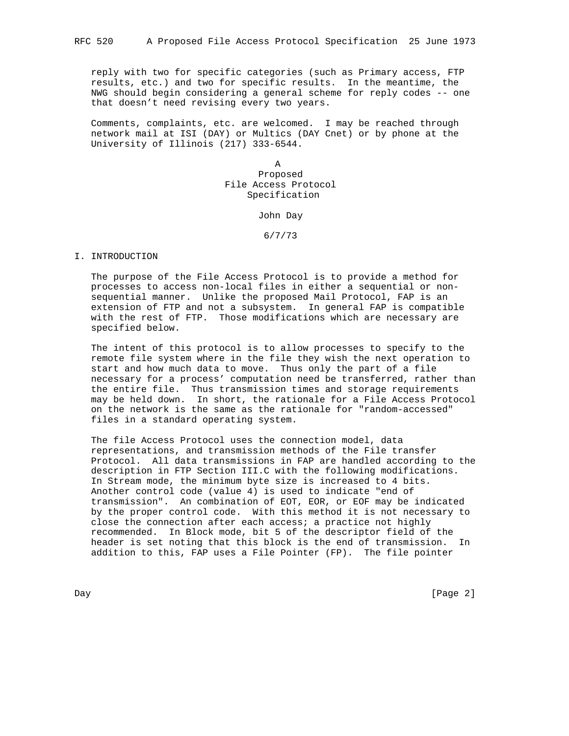reply with two for specific categories (such as Primary access, FTP results, etc.) and two for specific results. In the meantime, the NWG should begin considering a general scheme for reply codes -- one that doesn't need revising every two years.

 Comments, complaints, etc. are welcomed. I may be reached through network mail at ISI (DAY) or Multics (DAY Cnet) or by phone at the University of Illinois (217) 333-6544.

**A** *A A A A A A*  Proposed File Access Protocol Specification

John Day

6/7/73

## I. INTRODUCTION

 The purpose of the File Access Protocol is to provide a method for processes to access non-local files in either a sequential or non sequential manner. Unlike the proposed Mail Protocol, FAP is an extension of FTP and not a subsystem. In general FAP is compatible with the rest of FTP. Those modifications which are necessary are specified below.

 The intent of this protocol is to allow processes to specify to the remote file system where in the file they wish the next operation to start and how much data to move. Thus only the part of a file necessary for a process' computation need be transferred, rather than the entire file. Thus transmission times and storage requirements may be held down. In short, the rationale for a File Access Protocol on the network is the same as the rationale for "random-accessed" files in a standard operating system.

 The file Access Protocol uses the connection model, data representations, and transmission methods of the File transfer Protocol. All data transmissions in FAP are handled according to the description in FTP Section III.C with the following modifications. In Stream mode, the minimum byte size is increased to 4 bits. Another control code (value 4) is used to indicate "end of transmission". An combination of EOT, EOR, or EOF may be indicated by the proper control code. With this method it is not necessary to close the connection after each access; a practice not highly recommended. In Block mode, bit 5 of the descriptor field of the header is set noting that this block is the end of transmission. In addition to this, FAP uses a File Pointer (FP). The file pointer

Day [Page 2]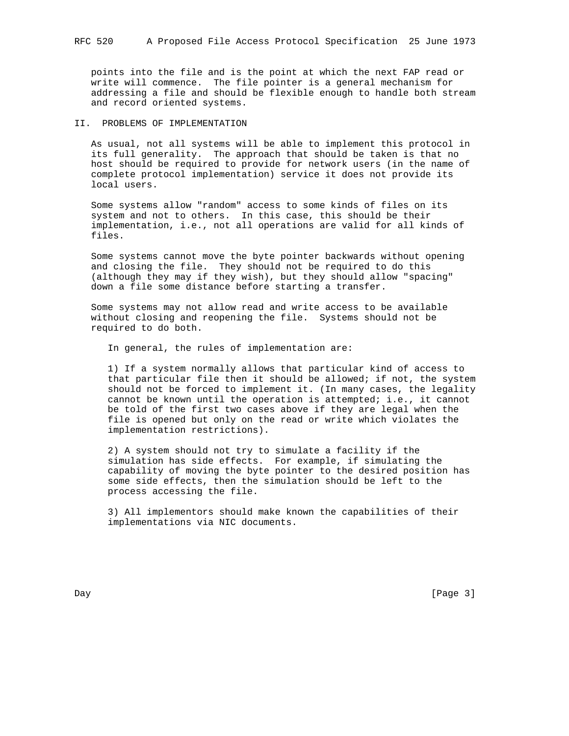points into the file and is the point at which the next FAP read or write will commence. The file pointer is a general mechanism for addressing a file and should be flexible enough to handle both stream and record oriented systems.

# II. PROBLEMS OF IMPLEMENTATION

 As usual, not all systems will be able to implement this protocol in its full generality. The approach that should be taken is that no host should be required to provide for network users (in the name of complete protocol implementation) service it does not provide its local users.

 Some systems allow "random" access to some kinds of files on its system and not to others. In this case, this should be their implementation, i.e., not all operations are valid for all kinds of files.

 Some systems cannot move the byte pointer backwards without opening and closing the file. They should not be required to do this (although they may if they wish), but they should allow "spacing" down a file some distance before starting a transfer.

 Some systems may not allow read and write access to be available without closing and reopening the file. Systems should not be required to do both.

In general, the rules of implementation are:

 1) If a system normally allows that particular kind of access to that particular file then it should be allowed; if not, the system should not be forced to implement it. (In many cases, the legality cannot be known until the operation is attempted; i.e., it cannot be told of the first two cases above if they are legal when the file is opened but only on the read or write which violates the implementation restrictions).

 2) A system should not try to simulate a facility if the simulation has side effects. For example, if simulating the capability of moving the byte pointer to the desired position has some side effects, then the simulation should be left to the process accessing the file.

 3) All implementors should make known the capabilities of their implementations via NIC documents.

Day [Page 3]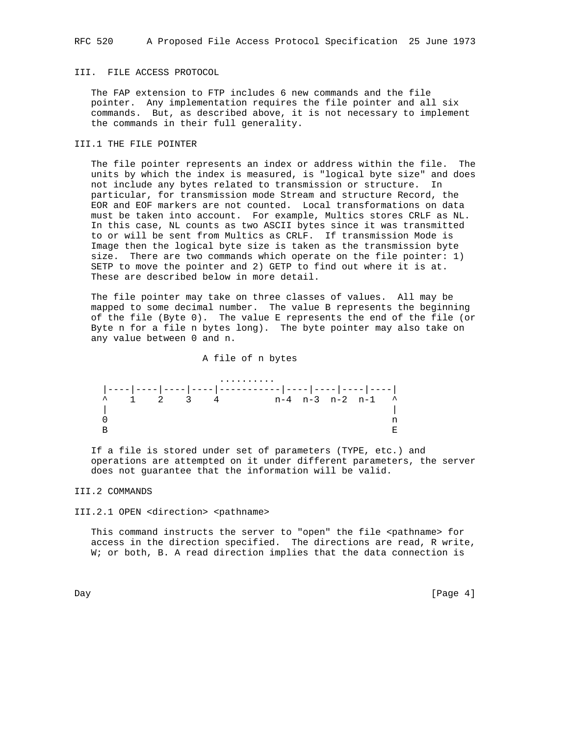# III. FILE ACCESS PROTOCOL

 The FAP extension to FTP includes 6 new commands and the file pointer. Any implementation requires the file pointer and all six commands. But, as described above, it is not necessary to implement the commands in their full generality.

## III.1 THE FILE POINTER

 The file pointer represents an index or address within the file. The units by which the index is measured, is "logical byte size" and does not include any bytes related to transmission or structure. In particular, for transmission mode Stream and structure Record, the EOR and EOF markers are not counted. Local transformations on data must be taken into account. For example, Multics stores CRLF as NL. In this case, NL counts as two ASCII bytes since it was transmitted to or will be sent from Multics as CRLF. If transmission Mode is Image then the logical byte size is taken as the transmission byte size. There are two commands which operate on the file pointer: 1) SETP to move the pointer and 2) GETP to find out where it is at. These are described below in more detail.

 The file pointer may take on three classes of values. All may be mapped to some decimal number. The value B represents the beginning of the file (Byte 0). The value E represents the end of the file (or Byte n for a file n bytes long). The byte pointer may also take on any value between 0 and n.

#### A file of n bytes



 If a file is stored under set of parameters (TYPE, etc.) and operations are attempted on it under different parameters, the server does not guarantee that the information will be valid.

## III.2 COMMANDS

III.2.1 OPEN <direction> <pathname>

This command instructs the server to "open" the file <pathname> for access in the direction specified. The directions are read, R write, W; or both, B. A read direction implies that the data connection is

Day [Page 4]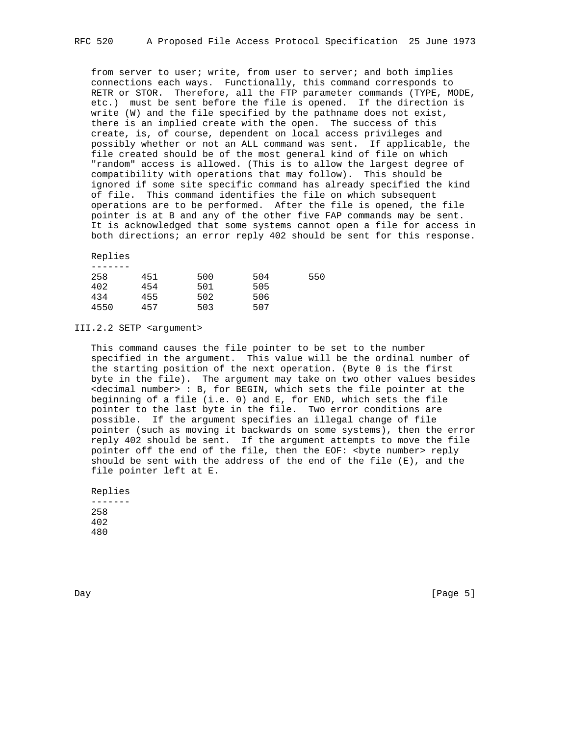from server to user; write, from user to server; and both implies connections each ways. Functionally, this command corresponds to RETR or STOR. Therefore, all the FTP parameter commands (TYPE, MODE, etc.) must be sent before the file is opened. If the direction is write (W) and the file specified by the pathname does not exist, there is an implied create with the open. The success of this create, is, of course, dependent on local access privileges and possibly whether or not an ALL command was sent. If applicable, the file created should be of the most general kind of file on which "random" access is allowed. (This is to allow the largest degree of compatibility with operations that may follow). This should be ignored if some site specific command has already specified the kind of file. This command identifies the file on which subsequent operations are to be performed. After the file is opened, the file pointer is at B and any of the other five FAP commands may be sent. It is acknowledged that some systems cannot open a file for access in both directions; an error reply 402 should be sent for this response.

## Replies

| 258  | 451 | 500 | 504 | 550 |
|------|-----|-----|-----|-----|
| 402  | 454 | 501 | 505 |     |
| 434  | 455 | 502 | 506 |     |
| 4550 | 457 | 503 | 507 |     |
|      |     |     |     |     |

III.2.2 SETP <argument>

 This command causes the file pointer to be set to the number specified in the argument. This value will be the ordinal number of the starting position of the next operation. (Byte 0 is the first byte in the file). The argument may take on two other values besides <decimal number> : B, for BEGIN, which sets the file pointer at the beginning of a file (i.e. 0) and E, for END, which sets the file pointer to the last byte in the file. Two error conditions are possible. If the argument specifies an illegal change of file pointer (such as moving it backwards on some systems), then the error reply 402 should be sent. If the argument attempts to move the file pointer off the end of the file, then the EOF: <byte number> reply should be sent with the address of the end of the file  $(E)$ , and the file pointer left at E.

 Replies ------- 258 402 480

Day [Page 5]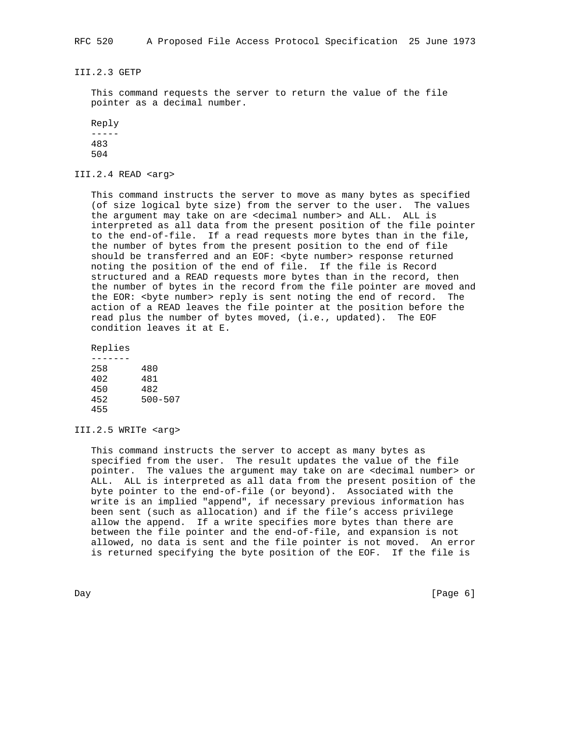III.2.3 GETP

 This command requests the server to return the value of the file pointer as a decimal number.

 Reply  $-----$  483 504

III.2.4 READ <arg>

 This command instructs the server to move as many bytes as specified (of size logical byte size) from the server to the user. The values the argument may take on are <decimal number> and ALL. ALL is interpreted as all data from the present position of the file pointer to the end-of-file. If a read requests more bytes than in the file, the number of bytes from the present position to the end of file should be transferred and an EOF: < byte number> response returned noting the position of the end of file. If the file is Record structured and a READ requests more bytes than in the record, then the number of bytes in the record from the file pointer are moved and the EOR: <br/>byte number> reply is sent noting the end of record. The action of a READ leaves the file pointer at the position before the read plus the number of bytes moved, (i.e., updated). The EOF condition leaves it at E.

Replies

| 258 | 480         |
|-----|-------------|
| 402 | 481         |
| 450 | 482         |
| 452 | $500 - 507$ |
| 455 |             |

## III.2.5 WRITe <arg>

 This command instructs the server to accept as many bytes as specified from the user. The result updates the value of the file pointer. The values the argument may take on are <decimal number> or ALL. ALL is interpreted as all data from the present position of the byte pointer to the end-of-file (or beyond). Associated with the write is an implied "append", if necessary previous information has been sent (such as allocation) and if the file's access privilege allow the append. If a write specifies more bytes than there are between the file pointer and the end-of-file, and expansion is not allowed, no data is sent and the file pointer is not moved. An error is returned specifying the byte position of the EOF. If the file is

Day [Page 6]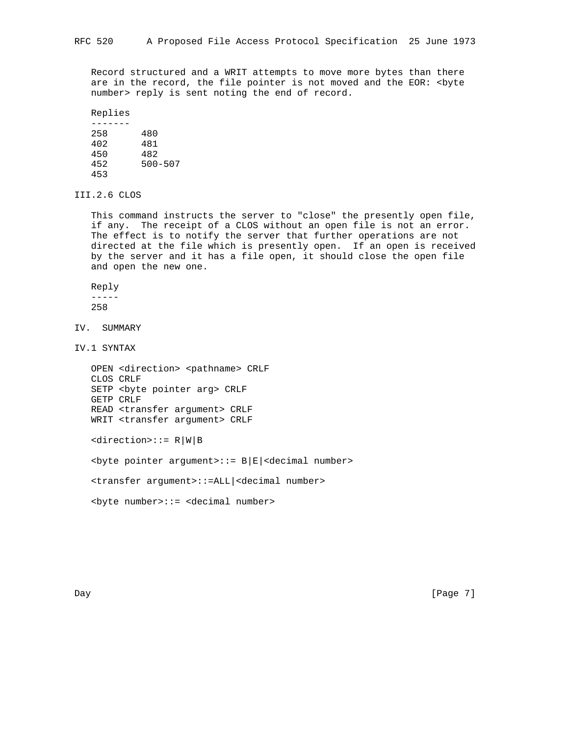Record structured and a WRIT attempts to move more bytes than there are in the record, the file pointer is not moved and the EOR: < byte number> reply is sent noting the end of record.

Replies

| 258 | 480         |
|-----|-------------|
| 402 | 481         |
| 450 | 482         |
| 452 | $500 - 507$ |
| 453 |             |
|     |             |

III.2.6 CLOS

 This command instructs the server to "close" the presently open file, if any. The receipt of a CLOS without an open file is not an error. The effect is to notify the server that further operations are not directed at the file which is presently open. If an open is received by the server and it has a file open, it should close the open file and open the new one.

Reply

-----

258

IV. SUMMARY

IV.1 SYNTAX

```
 OPEN <direction> <pathname> CRLF
CLOS CRLF
SETP <byte pointer arg> CRLF
GETP CRLF
READ <transfer argument> CRLF
WRIT <transfer argument> CRLF
```
<direction>::= R|W|B

<byte pointer argument>::= B|E|<decimal number>

<transfer argument>::=ALL|<decimal number>

<byte number>::= <decimal number>